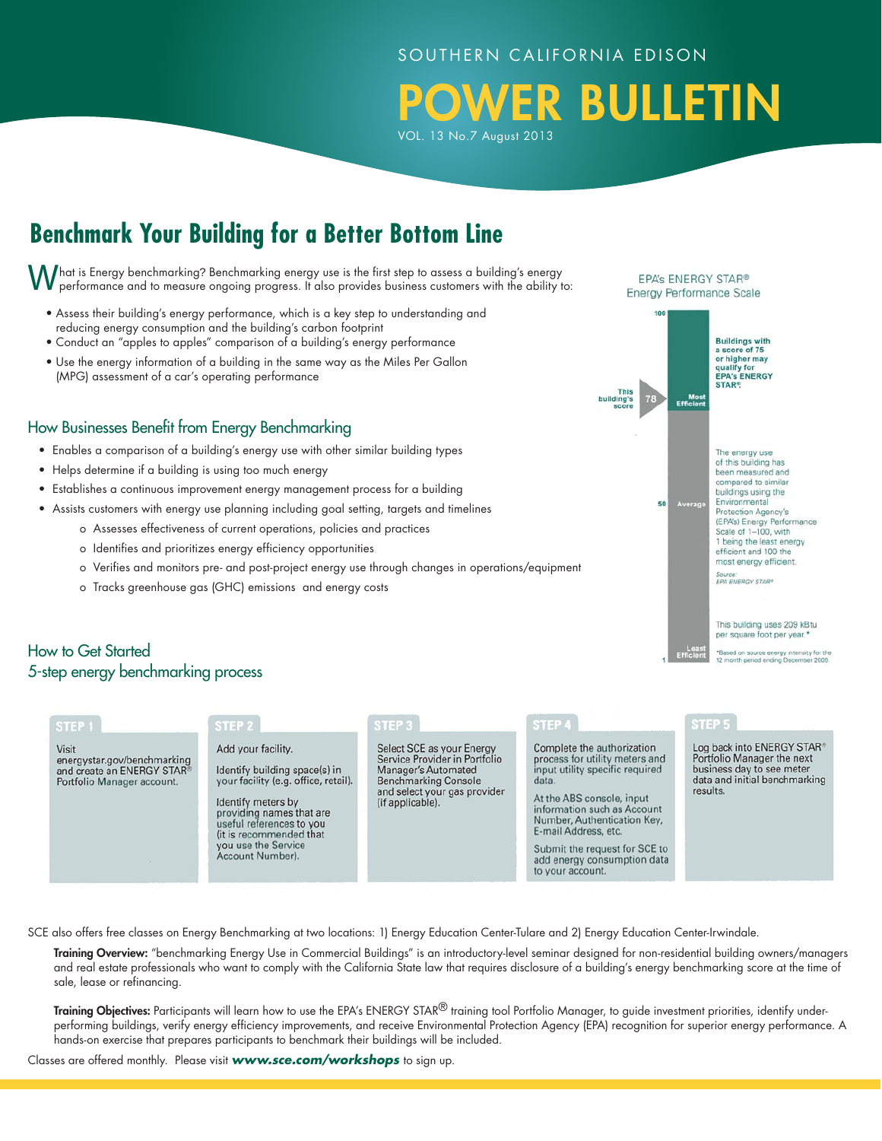#### SOUTHERN CALIFORNIA EDISON

OWER BULLETIN VOL. 13 No.7 August 2013

# **Benchmark Your Building for a Better Bottom Line**

What is Energy benchmarking? Benchmarking energy use is the first step to assess a building's energy performance and to measure ongoing progress. It also provides business customers with the ability to:

- Assess their building's energy performance, which is a key step to understanding and reducing energy consumption and the building's carbon footprint
- Conduct an "apples to apples" comparison of a building's energy performance
- Use the energy information of a building in the same way as the Miles Per Gallon (MPG) assessment of a car's operating performance

#### How Businesses Benefit from Energy Benchmarking

- Enables a comparison of a building's energy use with other similar building types
- Helps determine if a building is using too much energy
- Establishes a continuous improvement energy management process for a building
- Assists customers with energy use planning including goal setting, targets and timelines
	- o Assesses effectiveness of current operations, policies and practices
	- o Identifies and prioritizes energy efficiency opportunities
	- o Verifies and monitors pre- and post-project energy use through changes in operations/equipment
	- o Tracks greenhouse gas (GHC) emissions and energy costs

#### qualify for<br>EPA's ENERGY<br>STAR® Mos<br>Efficier The energy use of this building has been measured and compared to similar buildings using the Environmental 50 Protection Agency's (EPA's) Energy Performance Scale of 1-100, with 1 being the least energy efficient and 100 the

Buildings with<br>a score of 75<br>or higher may qualify for

EPA's ENERGY STAR® **Energy Performance Scale** 

> most energy efficient. Source:<br>EPA ENERGY STAR®

This building uses 209 kBtu per square foot per year."

\*Based on source energy intensity for the<br>12 month period ending December 2009.

# How to Get Started 5-step energy benchmarking process

| STEP <sub>1</sub>                                                                                | STEP <sub>2</sub>                                                                                                                                                                                                                                | STEP 3                                                                                                                                                               | STEP 4                                                                                                                                                                                                                                                                                                          | STEP 5                                                                                                                             |
|--------------------------------------------------------------------------------------------------|--------------------------------------------------------------------------------------------------------------------------------------------------------------------------------------------------------------------------------------------------|----------------------------------------------------------------------------------------------------------------------------------------------------------------------|-----------------------------------------------------------------------------------------------------------------------------------------------------------------------------------------------------------------------------------------------------------------------------------------------------------------|------------------------------------------------------------------------------------------------------------------------------------|
| Visit<br>energystar.gov/benchmarking<br>and create an ENERGY STAR®<br>Portfolio Manager account. | Add your facility.<br>Identify building space(s) in<br>your facility (e.g. office, retail).<br>Identify meters by<br>providing names that are<br>useful references to you<br>(it is recommended that)<br>you use the Service<br>Account Number). | Select SCE as your Energy<br>Service Provider in Portfolio<br>Manager's Automated<br><b>Benchmarking Console</b><br>and select your gas provider<br>(if applicable). | Complete the authorization<br>process for utility meters and<br>input utility specific required<br>data.<br>At the ABS console, input<br>information such as Account<br>Number, Authentication Key,<br>E-mail Address, etc.<br>Submit the request for SCE to<br>add energy consumption data<br>to your account. | Log back into ENERGY STAR®<br>Portfolio Manager the next<br>business day to see meter<br>data and initial benchmarking<br>results. |

SCE also offers free classes on Energy Benchmarking at two locations: 1) Energy Education Center-Tulare and 2) Energy Education Center-Irwindale.

Training Overview: "benchmarking Energy Use in Commercial Buildings" is an introductory-level seminar designed for non-residential building owners/managers and real estate professionals who want to comply with the California State law that requires disclosure of a building's energy benchmarking score at the time of sale, lease or refinancing.

Training Objectives: Participants will learn how to use the EPA's ENERGY STAR<sup>®</sup> training tool Portfolio Manager, to guide investment priorities, identify underperforming buildings, verify energy efficiency improvements, and receive Environmental Protection Agency (EPA) recognition for superior energy performance. A hands-on exercise that prepares participants to benchmark their buildings will be included.

Classes are offered monthly. Please visit *www.sce.com/workshops* to sign up.